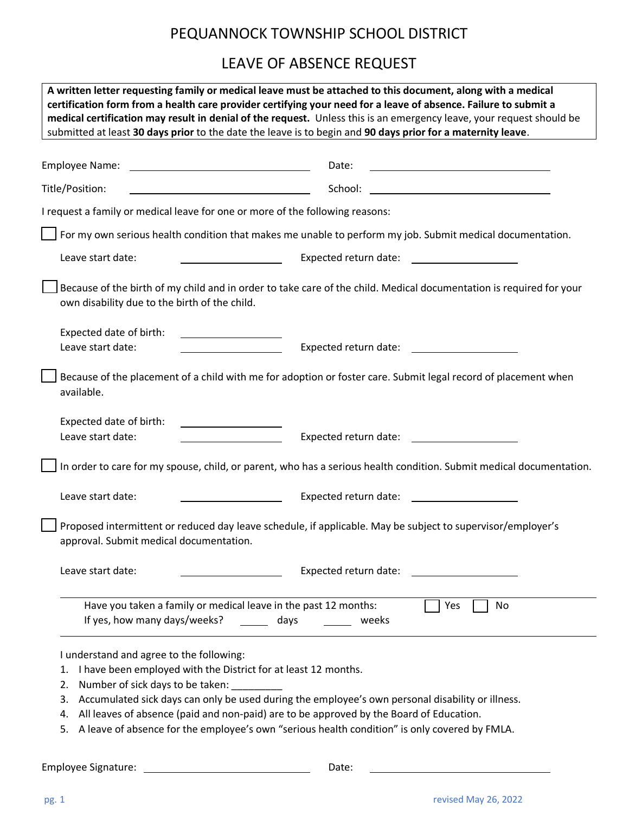## PEQUANNOCK TOWNSHIP SCHOOL DISTRICT

## LEAVE OF ABSENCE REQUEST

| A written letter requesting family or medical leave must be attached to this document, along with a medical<br>certification form from a health care provider certifying your need for a leave of absence. Failure to submit a<br>medical certification may result in denial of the request. Unless this is an emergency leave, your request should be<br>submitted at least 30 days prior to the date the leave is to begin and 90 days prior for a maternity leave.        |                                                                                                                     |
|------------------------------------------------------------------------------------------------------------------------------------------------------------------------------------------------------------------------------------------------------------------------------------------------------------------------------------------------------------------------------------------------------------------------------------------------------------------------------|---------------------------------------------------------------------------------------------------------------------|
| Employee Name:<br><u> 1980 - Johann Barbara, martxa alemaniar amerikan a</u>                                                                                                                                                                                                                                                                                                                                                                                                 | Date:                                                                                                               |
| Title/Position:<br><u> 1989 - Johann Barnett, fransk politik (</u>                                                                                                                                                                                                                                                                                                                                                                                                           | School:<br><u> 1980 - Andrea Andrew Maria (h. 1980).</u>                                                            |
| I request a family or medical leave for one or more of the following reasons:                                                                                                                                                                                                                                                                                                                                                                                                |                                                                                                                     |
|                                                                                                                                                                                                                                                                                                                                                                                                                                                                              | For my own serious health condition that makes me unable to perform my job. Submit medical documentation.           |
| Leave start date:                                                                                                                                                                                                                                                                                                                                                                                                                                                            | Expected return date:                                                                                               |
| own disability due to the birth of the child.                                                                                                                                                                                                                                                                                                                                                                                                                                | Because of the birth of my child and in order to take care of the child. Medical documentation is required for your |
| Expected date of birth:<br>Leave start date:                                                                                                                                                                                                                                                                                                                                                                                                                                 | Expected return date:                                                                                               |
| available.                                                                                                                                                                                                                                                                                                                                                                                                                                                                   | Because of the placement of a child with me for adoption or foster care. Submit legal record of placement when      |
| Expected date of birth:<br>Leave start date:<br><u> 1990 - Johann John Harry Barnett, amerikan bisa di sebagai pertama pertama pertama pertama pertama pertama pe</u>                                                                                                                                                                                                                                                                                                        | Expected return date:                                                                                               |
|                                                                                                                                                                                                                                                                                                                                                                                                                                                                              | In order to care for my spouse, child, or parent, who has a serious health condition. Submit medical documentation. |
| Leave start date:                                                                                                                                                                                                                                                                                                                                                                                                                                                            | Expected return date:                                                                                               |
| approval. Submit medical documentation.                                                                                                                                                                                                                                                                                                                                                                                                                                      | Proposed intermittent or reduced day leave schedule, if applicable. May be subject to supervisor/employer's         |
| Leave start date:                                                                                                                                                                                                                                                                                                                                                                                                                                                            | Expected return date:                                                                                               |
| Have you taken a family or medical leave in the past 12 months:<br>If yes, how many days/weeks?<br>days                                                                                                                                                                                                                                                                                                                                                                      | Yes<br>No<br>weeks                                                                                                  |
| I understand and agree to the following:<br>I have been employed with the District for at least 12 months.<br>1.<br>Number of sick days to be taken:<br>2.<br>Accumulated sick days can only be used during the employee's own personal disability or illness.<br>3.<br>All leaves of absence (paid and non-paid) are to be approved by the Board of Education.<br>4.<br>A leave of absence for the employee's own "serious health condition" is only covered by FMLA.<br>5. |                                                                                                                     |
| <b>Employee Signature:</b>                                                                                                                                                                                                                                                                                                                                                                                                                                                   | Date:                                                                                                               |